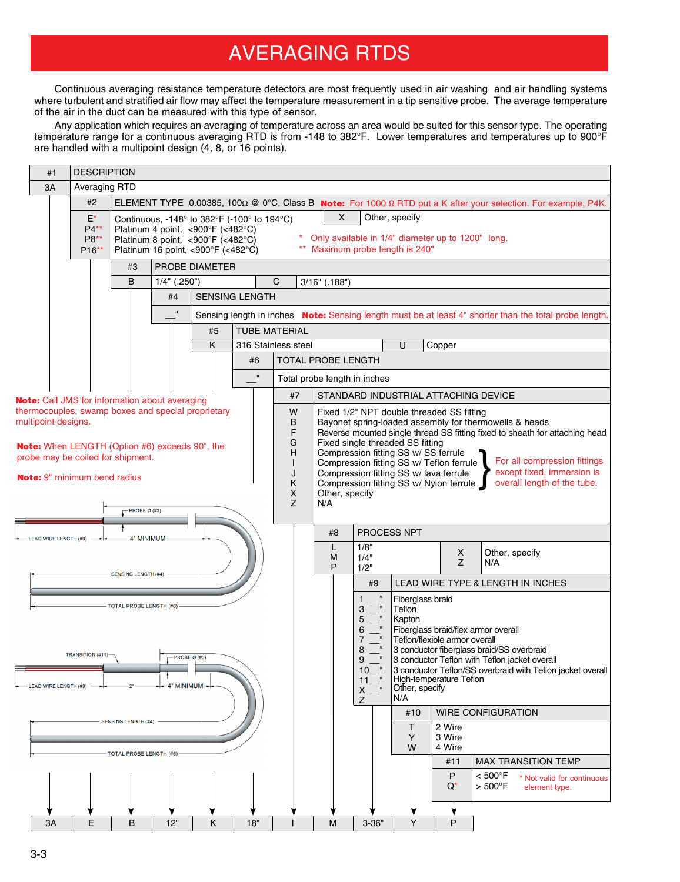## AVERAGING RTDS

Continuous averaging resistance temperature detectors are most frequently used in air washing and air handling systems where turbulent and stratified air flow may affect the temperature measurement in a tip sensitive probe. The average temperature of the air in the duct can be measured with this type of sensor.

Any application which requires an averaging of temperature across an area would be suited for this sensor type. The operating temperature range for a continuous averaging RTD is from -148 to 382°F. Lower temperatures and temperatures up to 900°F are handled with a multipoint design (4, 8, or 16 points).

|                                                       |                                                                                                               | #1                  |  | <b>DESCRIPTION</b>                            |                                                                                                        |                                                                                                             |                                                                                                                                                                                                       |                                    |                                                                                                          |                                                                                                                                                                                                                                                                                                                                                                                                                                                                                                                       |                                                       |                                                            |                                              |                                                          |                                                                                                                                   |                                                                                                                               |
|-------------------------------------------------------|---------------------------------------------------------------------------------------------------------------|---------------------|--|-----------------------------------------------|--------------------------------------------------------------------------------------------------------|-------------------------------------------------------------------------------------------------------------|-------------------------------------------------------------------------------------------------------------------------------------------------------------------------------------------------------|------------------------------------|----------------------------------------------------------------------------------------------------------|-----------------------------------------------------------------------------------------------------------------------------------------------------------------------------------------------------------------------------------------------------------------------------------------------------------------------------------------------------------------------------------------------------------------------------------------------------------------------------------------------------------------------|-------------------------------------------------------|------------------------------------------------------------|----------------------------------------------|----------------------------------------------------------|-----------------------------------------------------------------------------------------------------------------------------------|-------------------------------------------------------------------------------------------------------------------------------|
|                                                       | 3A                                                                                                            |                     |  |                                               | Averaging RTD                                                                                          |                                                                                                             |                                                                                                                                                                                                       |                                    |                                                                                                          |                                                                                                                                                                                                                                                                                                                                                                                                                                                                                                                       |                                                       |                                                            |                                              |                                                          |                                                                                                                                   |                                                                                                                               |
|                                                       |                                                                                                               |                     |  | #2                                            |                                                                                                        |                                                                                                             |                                                                                                                                                                                                       |                                    |                                                                                                          |                                                                                                                                                                                                                                                                                                                                                                                                                                                                                                                       |                                                       |                                                            |                                              |                                                          |                                                                                                                                   | ELEMENT TYPE 0.00385, 100 $\Omega$ @ 0°C, Class B Note: For 1000 $\Omega$ RTD put a K after your selection. For example, P4K. |
|                                                       |                                                                                                               |                     |  | $E^*$<br>$P4**$<br>P8**<br>P <sub>16</sub> ** |                                                                                                        |                                                                                                             | Continuous, -148 $^{\circ}$ to 382 $^{\circ}$ F (-100 $^{\circ}$ to 194 $^{\circ}$ C)<br>Platinum 4 point, <900°F (<482°C)<br>Platinum 8 point, <900°F (<482°C)<br>Platinum 16 point, <900°F (<482°C) |                                    | X<br>Other, specify<br>Only available in 1/4" diameter up to 1200" long.<br>Maximum probe length is 240" |                                                                                                                                                                                                                                                                                                                                                                                                                                                                                                                       |                                                       |                                                            |                                              |                                                          |                                                                                                                                   |                                                                                                                               |
|                                                       | PROBE DIAMETER<br>#3                                                                                          |                     |  |                                               |                                                                                                        |                                                                                                             |                                                                                                                                                                                                       |                                    |                                                                                                          |                                                                                                                                                                                                                                                                                                                                                                                                                                                                                                                       |                                                       |                                                            |                                              |                                                          |                                                                                                                                   |                                                                                                                               |
|                                                       |                                                                                                               |                     |  |                                               | B                                                                                                      | $1/4"$ (.250")                                                                                              | C<br>$3/16"$ (.188")                                                                                                                                                                                  |                                    |                                                                                                          |                                                                                                                                                                                                                                                                                                                                                                                                                                                                                                                       |                                                       |                                                            |                                              |                                                          |                                                                                                                                   |                                                                                                                               |
|                                                       |                                                                                                               |                     |  |                                               |                                                                                                        | #4                                                                                                          | <b>SENSING LENGTH</b><br>Sensing length in inches Note: Sensing length must be at least 4" shorter than the total probe length.                                                                       |                                    |                                                                                                          |                                                                                                                                                                                                                                                                                                                                                                                                                                                                                                                       |                                                       |                                                            |                                              |                                                          |                                                                                                                                   |                                                                                                                               |
|                                                       |                                                                                                               |                     |  |                                               |                                                                                                        | $\mathbf{u}$                                                                                                |                                                                                                                                                                                                       |                                    |                                                                                                          |                                                                                                                                                                                                                                                                                                                                                                                                                                                                                                                       |                                                       |                                                            |                                              |                                                          |                                                                                                                                   |                                                                                                                               |
|                                                       |                                                                                                               |                     |  |                                               |                                                                                                        |                                                                                                             | #5                                                                                                                                                                                                    |                                    | TUBE MATERIAL                                                                                            |                                                                                                                                                                                                                                                                                                                                                                                                                                                                                                                       |                                                       |                                                            |                                              |                                                          |                                                                                                                                   |                                                                                                                               |
|                                                       | K                                                                                                             |                     |  |                                               |                                                                                                        |                                                                                                             |                                                                                                                                                                                                       | 316 Stainless steel<br>U<br>Copper |                                                                                                          |                                                                                                                                                                                                                                                                                                                                                                                                                                                                                                                       |                                                       |                                                            |                                              |                                                          |                                                                                                                                   |                                                                                                                               |
|                                                       | #6                                                                                                            |                     |  |                                               |                                                                                                        |                                                                                                             |                                                                                                                                                                                                       |                                    | TOTAL PROBE LENGTH                                                                                       |                                                                                                                                                                                                                                                                                                                                                                                                                                                                                                                       |                                                       |                                                            |                                              |                                                          |                                                                                                                                   |                                                                                                                               |
|                                                       |                                                                                                               |                     |  |                                               |                                                                                                        |                                                                                                             |                                                                                                                                                                                                       | $\mathbf{u}$                       | Total probe length in inches                                                                             |                                                                                                                                                                                                                                                                                                                                                                                                                                                                                                                       |                                                       |                                                            |                                              |                                                          |                                                                                                                                   |                                                                                                                               |
|                                                       |                                                                                                               |                     |  |                                               |                                                                                                        | <b>Note:</b> Call JMS for information about averaging                                                       |                                                                                                                                                                                                       |                                    | #7                                                                                                       | STANDARD INDUSTRIAL ATTACHING DEVICE                                                                                                                                                                                                                                                                                                                                                                                                                                                                                  |                                                       |                                                            |                                              |                                                          |                                                                                                                                   |                                                                                                                               |
|                                                       |                                                                                                               | multipoint designs. |  |                                               | probe may be coiled for shipment.<br><b>Note:</b> 9" minimum bend radius<br>- PROBE $\varnothing$ (#3) | thermocouples, swamp boxes and special proprietary<br><b>Note:</b> When LENGTH (Option #6) exceeds 90", the |                                                                                                                                                                                                       |                                    | W<br>В<br>F<br>G<br>н<br>L<br>J<br>Κ<br>x<br>Z                                                           | Fixed 1/2" NPT double threaded SS fitting<br>Bayonet spring-loaded assembly for thermowells & heads<br>Reverse mounted single thread SS fitting fixed to sheath for attaching head<br>Fixed single threaded SS fitting<br>Compression fitting SS w/ SS ferrule<br>For all compression fittings<br>Compression fitting SS w/ Teflon ferrule<br>except fixed, immersion is<br>Compression fitting SS w/ lava ferrule<br>overall length of the tube.<br>Compression fitting SS w/ Nylon ferrule<br>Other, specify<br>N/A |                                                       |                                                            |                                              |                                                          |                                                                                                                                   |                                                                                                                               |
| 4" MINIMUM<br>LEAD WIRE LENGTH (#9)                   |                                                                                                               |                     |  |                                               |                                                                                                        |                                                                                                             |                                                                                                                                                                                                       |                                    | PROCESS NPT<br>#8                                                                                        |                                                                                                                                                                                                                                                                                                                                                                                                                                                                                                                       |                                                       |                                                            |                                              |                                                          |                                                                                                                                   |                                                                                                                               |
|                                                       |                                                                                                               |                     |  |                                               |                                                                                                        |                                                                                                             |                                                                                                                                                                                                       |                                    |                                                                                                          | L<br>М                                                                                                                                                                                                                                                                                                                                                                                                                                                                                                                | 1/8"<br>1/4"                                          |                                                            |                                              | X                                                        | Other, specify                                                                                                                    |                                                                                                                               |
| <b>SENSING LENGTH (#4)</b>                            |                                                                                                               |                     |  |                                               |                                                                                                        |                                                                                                             |                                                                                                                                                                                                       |                                    |                                                                                                          | P                                                                                                                                                                                                                                                                                                                                                                                                                                                                                                                     | 1/2"                                                  |                                                            |                                              | Z                                                        | N/A                                                                                                                               |                                                                                                                               |
|                                                       |                                                                                                               |                     |  |                                               |                                                                                                        |                                                                                                             |                                                                                                                                                                                                       |                                    |                                                                                                          |                                                                                                                                                                                                                                                                                                                                                                                                                                                                                                                       | #9                                                    |                                                            |                                              |                                                          | LEAD WIRE TYPE & LENGTH IN INCHES                                                                                                 |                                                                                                                               |
|                                                       | <b>TOTAL PROBE LENGTH (#6)</b><br>TRANSITION (#11)<br>PROBE Ø (#3)<br>-4" MINIMUM-<br>- LEAD WIRE LENGTH (#9) |                     |  |                                               |                                                                                                        |                                                                                                             |                                                                                                                                                                                                       |                                    |                                                                                                          |                                                                                                                                                                                                                                                                                                                                                                                                                                                                                                                       | 1<br>3<br>5<br>6<br>7<br>8<br>9<br>10<br>11<br>Χ<br>7 | $\,$ II<br>$\blacksquare$<br>Teflon<br>$\mathbf{u}$<br>N/A | Fiberglass braid<br>Kapton<br>Other, specify | Teflon/flexible armor overall<br>High-temperature Teflon | Fiberglass braid/flex armor overall<br>3 conductor fiberglass braid/SS overbraid<br>3 conductor Teflon with Teflon jacket overall | 3 conductor Teflon/SS overbraid with Teflon jacket overall                                                                    |
| <b>SENSING LENGTH (#4)</b><br>TOTAL PROBE LENGTH (#6) |                                                                                                               |                     |  |                                               |                                                                                                        |                                                                                                             |                                                                                                                                                                                                       |                                    |                                                                                                          |                                                                                                                                                                                                                                                                                                                                                                                                                                                                                                                       |                                                       |                                                            | #10                                          |                                                          | <b>WIRE CONFIGURATION</b>                                                                                                         |                                                                                                                               |
|                                                       |                                                                                                               |                     |  |                                               |                                                                                                        |                                                                                                             |                                                                                                                                                                                                       |                                    |                                                                                                          |                                                                                                                                                                                                                                                                                                                                                                                                                                                                                                                       |                                                       |                                                            | T.<br>Y<br>W                                 | 2 Wire<br>3 Wire<br>4 Wire                               |                                                                                                                                   |                                                                                                                               |
|                                                       |                                                                                                               |                     |  |                                               |                                                                                                        |                                                                                                             |                                                                                                                                                                                                       |                                    |                                                                                                          |                                                                                                                                                                                                                                                                                                                                                                                                                                                                                                                       |                                                       |                                                            | #11                                          | MAX TRANSITION TEMP                                      |                                                                                                                                   |                                                                                                                               |
|                                                       |                                                                                                               |                     |  |                                               |                                                                                                        |                                                                                                             |                                                                                                                                                                                                       |                                    |                                                                                                          |                                                                                                                                                                                                                                                                                                                                                                                                                                                                                                                       |                                                       |                                                            |                                              | P<br>$Q^*$                                               | < 500°F<br>$> 500^{\circ}$ F                                                                                                      | * Not valid for continuous<br>element type.                                                                                   |
|                                                       |                                                                                                               |                     |  |                                               |                                                                                                        |                                                                                                             |                                                                                                                                                                                                       |                                    |                                                                                                          |                                                                                                                                                                                                                                                                                                                                                                                                                                                                                                                       |                                                       |                                                            |                                              |                                                          |                                                                                                                                   |                                                                                                                               |
|                                                       |                                                                                                               | 3A                  |  | E                                             | B                                                                                                      | 12"                                                                                                         | K                                                                                                                                                                                                     | 18"                                |                                                                                                          | M                                                                                                                                                                                                                                                                                                                                                                                                                                                                                                                     | $3 - 36"$                                             |                                                            | Y                                            | P                                                        |                                                                                                                                   |                                                                                                                               |